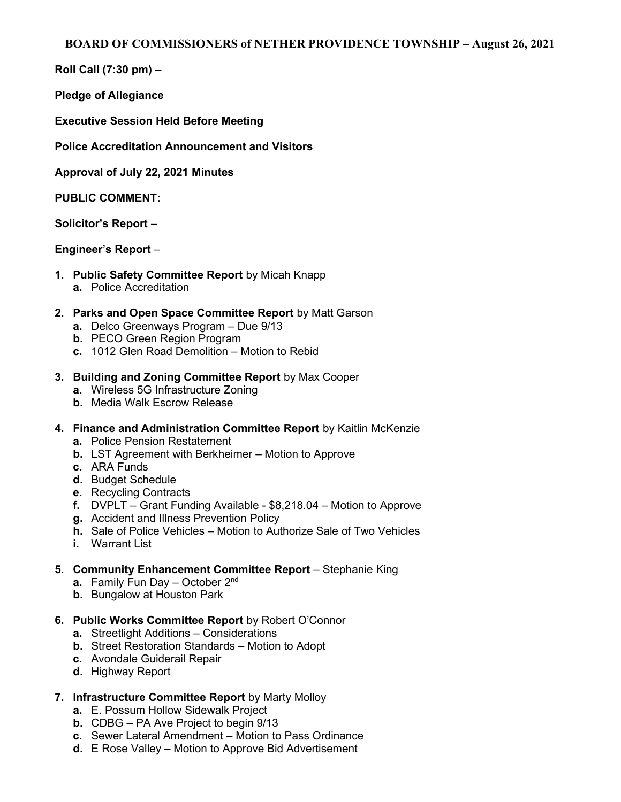Roll Call (7:30 pm) –

Pledge of Allegiance

Executive Session Held Before Meeting

Police Accreditation Announcement and Visitors

Approval of July 22, 2021 Minutes

PUBLIC COMMENT:

Solicitor's Report –

## Engineer's Report –

- 1. Public Safety Committee Report by Micah Knapp
	- a. Police Accreditation
- 2. Parks and Open Space Committee Report by Matt Garson
	- a. Delco Greenways Program Due 9/13
	- b. PECO Green Region Program
	- c. 1012 Glen Road Demolition Motion to Rebid
- 3. Building and Zoning Committee Report by Max Cooper
	- a. Wireless 5G Infrastructure Zoning
	- b. Media Walk Escrow Release
- 4. Finance and Administration Committee Report by Kaitlin McKenzie
	- a. Police Pension Restatement
	- b. LST Agreement with Berkheimer Motion to Approve
	- c. ARA Funds
	- d. Budget Schedule
	- e. Recycling Contracts
	- f. DVPLT Grant Funding Available \$8,218.04 Motion to Approve
	- g. Accident and Illness Prevention Policy
	- h. Sale of Police Vehicles Motion to Authorize Sale of Two Vehicles
	- i. Warrant List
- 5. Community Enhancement Committee Report Stephanie King
	- a. Family Fun Day October 2<sup>nd</sup>
	- b. Bungalow at Houston Park
- 6. Public Works Committee Report by Robert O'Connor
	- a. Streetlight Additions Considerations
	- b. Street Restoration Standards Motion to Adopt
	- c. Avondale Guiderail Repair
	- d. Highway Report
- 7. Infrastructure Committee Report by Marty Molloy
	- a. E. Possum Hollow Sidewalk Project
	- b. CDBG PA Ave Project to begin 9/13
	- c. Sewer Lateral Amendment Motion to Pass Ordinance
	- d. E Rose Valley Motion to Approve Bid Advertisement